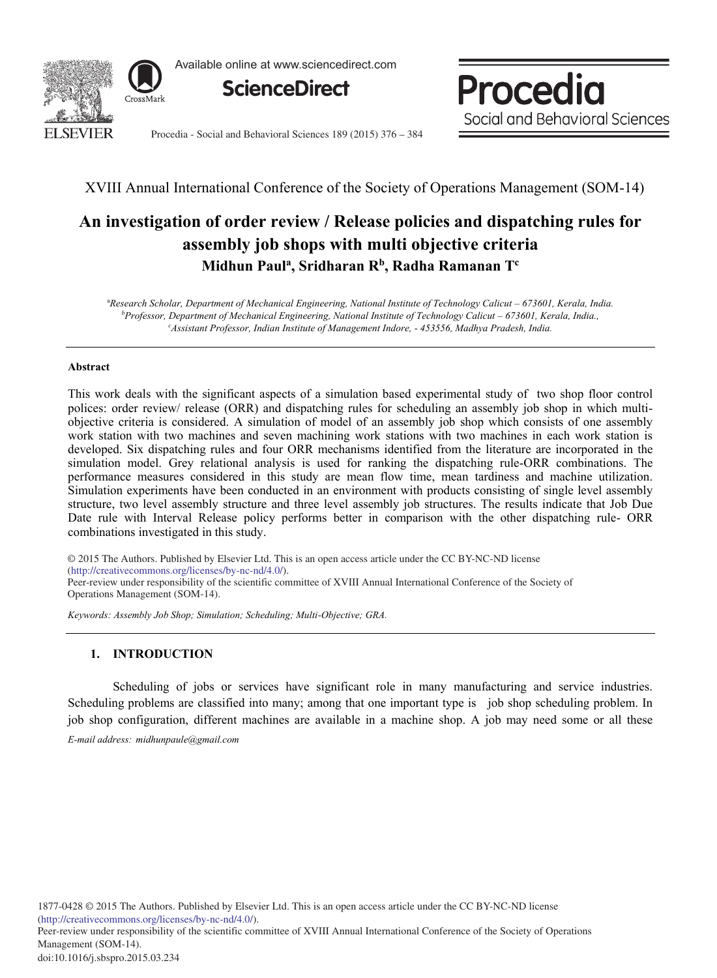

Available online at www.sciencedirect.com



Procedia Social and Behavioral Sciences

Procedia - Social and Behavioral Sciences 189 (2015) 376 - 384

## XVIII Annual International Conference of the Society of Operations Management (SOM-14)

# **An investigation of order review / Release policies and dispatching rules for assembly job shops with multi objective criteria Midhun Paul<sup>a</sup> , Sridharan R<sup>b</sup> , Radha Ramanan T<sup>c</sup>**

<sup>a</sup>*Research Scholar, Department of Mechanical Engineering, National Institute of Technology Calicut – 673601, Kerala, India. <sup>b</sup>Professor, Department of Mechanical Engineering, National Institute of Technology Calicut – 673601, Kerala, India., <sup>c</sup>Assistant Professor, Indian Institute of Management Indore, - 453556, Madhya Pradesh, India.* 

#### **Abstract**

This work deals with the significant aspects of a simulation based experimental study of two shop floor control polices: order review/ release (ORR) and dispatching rules for scheduling an assembly job shop in which multiobjective criteria is considered. A simulation of model of an assembly job shop which consists of one assembly work station with two machines and seven machining work stations with two machines in each work station is developed. Six dispatching rules and four ORR mechanisms identified from the literature are incorporated in the simulation model. Grey relational analysis is used for ranking the dispatching rule-ORR combinations. The performance measures considered in this study are mean flow time, mean tardiness and machine utilization. Simulation experiments have been conducted in an environment with products consisting of single level assembly structure, two level assembly structure and three level assembly job structures. The results indicate that Job Due Date rule with Interval Release policy performs better in comparison with the other dispatching rule- ORR combinations investigated in this study.

© 2015 The Authors. Published by Elsevier Ltd. © 2015 The Authors. Published by Elsevier Ltd. This is an open access article under the CC BY-NC-ND license (nttp://creativecommons.org/licenses/by-nc-nd/4.0/).<br>Peer-review under responsibility of the scientific committee of XVIII Annual International Conference of the Society of Operations Management (SOM-14). Operations Management (SOM-14).(http://creativecommons.org/licenses/by-nc-nd/4.0/).

*Keywords: Assembly Job Shop; Simulation; Scheduling; Multi-Objective; GRA.*

## **1. INTRODUCTION**

doi: 10.1016/j.sbspro.2015.03.234

*E-mail address: midhunpaule@gmail.com* Scheduling of jobs or services have significant role in many manufacturing and service industries. Scheduling problems are classified into many; among that one important type is job shop scheduling problem. In job shop configuration, different machines are available in a machine shop. A job may need some or all these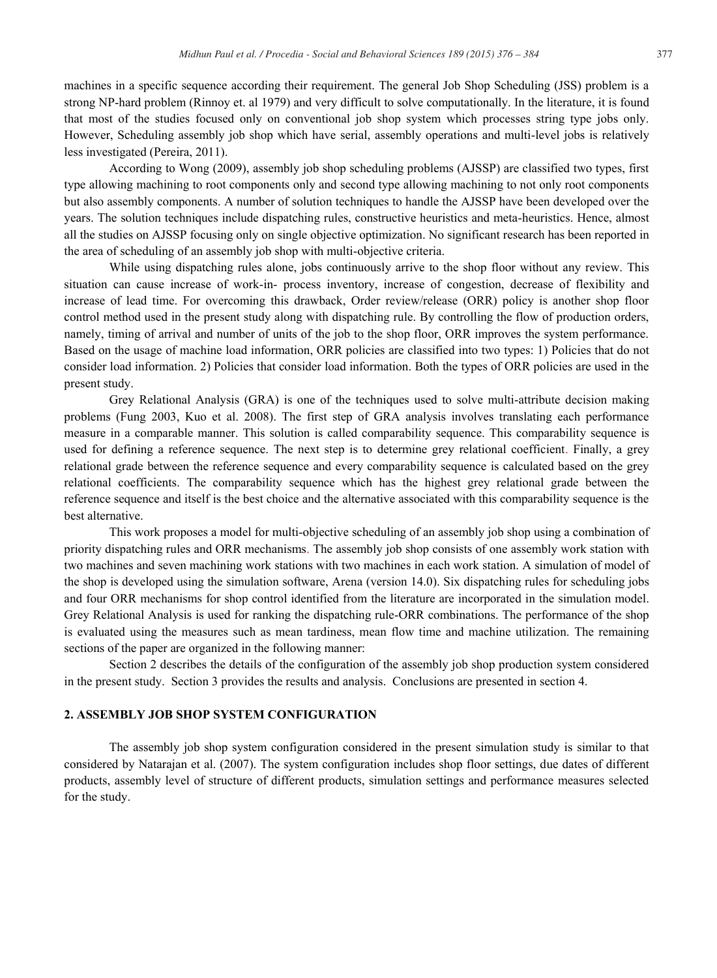machines in a specific sequence according their requirement. The general Job Shop Scheduling (JSS) problem is a strong NP-hard problem (Rinnoy et. al 1979) and very difficult to solve computationally. In the literature, it is found that most of the studies focused only on conventional job shop system which processes string type jobs only. However, Scheduling assembly job shop which have serial, assembly operations and multi-level jobs is relatively less investigated (Pereira, 2011).

According to Wong (2009), assembly job shop scheduling problems (AJSSP) are classified two types, first type allowing machining to root components only and second type allowing machining to not only root components but also assembly components. A number of solution techniques to handle the AJSSP have been developed over the years. The solution techniques include dispatching rules, constructive heuristics and meta-heuristics. Hence, almost all the studies on AJSSP focusing only on single objective optimization. No significant research has been reported in the area of scheduling of an assembly job shop with multi-objective criteria.

While using dispatching rules alone, jobs continuously arrive to the shop floor without any review. This situation can cause increase of work-in- process inventory, increase of congestion, decrease of flexibility and increase of lead time. For overcoming this drawback, Order review/release (ORR) policy is another shop floor control method used in the present study along with dispatching rule. By controlling the flow of production orders, namely, timing of arrival and number of units of the job to the shop floor, ORR improves the system performance. Based on the usage of machine load information, ORR policies are classified into two types: 1) Policies that do not consider load information. 2) Policies that consider load information. Both the types of ORR policies are used in the present study.

Grey Relational Analysis (GRA) is one of the techniques used to solve multi-attribute decision making problems (Fung 2003, Kuo et al. 2008). The first step of GRA analysis involves translating each performance measure in a comparable manner. This solution is called comparability sequence. This comparability sequence is used for defining a reference sequence. The next step is to determine grey relational coefficient. Finally, a grey relational grade between the reference sequence and every comparability sequence is calculated based on the grey relational coefficients. The comparability sequence which has the highest grey relational grade between the reference sequence and itself is the best choice and the alternative associated with this comparability sequence is the best alternative.

This work proposes a model for multi-objective scheduling of an assembly job shop using a combination of priority dispatching rules and ORR mechanisms. The assembly job shop consists of one assembly work station with two machines and seven machining work stations with two machines in each work station. A simulation of model of the shop is developed using the simulation software, Arena (version 14.0). Six dispatching rules for scheduling jobs and four ORR mechanisms for shop control identified from the literature are incorporated in the simulation model. Grey Relational Analysis is used for ranking the dispatching rule-ORR combinations. The performance of the shop is evaluated using the measures such as mean tardiness, mean flow time and machine utilization. The remaining sections of the paper are organized in the following manner:

Section 2 describes the details of the configuration of the assembly job shop production system considered in the present study. Section 3 provides the results and analysis. Conclusions are presented in section 4.

#### **2. ASSEMBLY JOB SHOP SYSTEM CONFIGURATION**

The assembly job shop system configuration considered in the present simulation study is similar to that considered by Natarajan et al. (2007). The system configuration includes shop floor settings, due dates of different products, assembly level of structure of different products, simulation settings and performance measures selected for the study.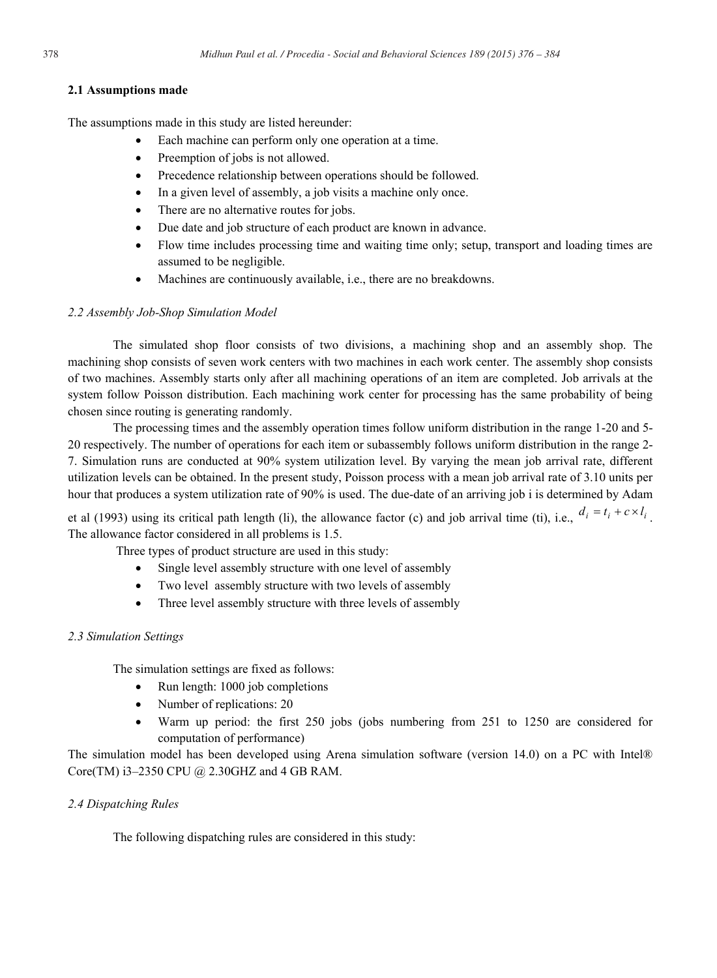### **2.1 Assumptions made**

The assumptions made in this study are listed hereunder:

- Each machine can perform only one operation at a time.
- Preemption of jobs is not allowed.
- Precedence relationship between operations should be followed.
- In a given level of assembly, a job visits a machine only once.
- There are no alternative routes for jobs.
- Due date and job structure of each product are known in advance.
- Flow time includes processing time and waiting time only; setup, transport and loading times are assumed to be negligible.
- Machines are continuously available, i.e., there are no breakdowns.

#### *2.2 Assembly Job-Shop Simulation Model*

The simulated shop floor consists of two divisions, a machining shop and an assembly shop. The machining shop consists of seven work centers with two machines in each work center. The assembly shop consists of two machines. Assembly starts only after all machining operations of an item are completed. Job arrivals at the system follow Poisson distribution. Each machining work center for processing has the same probability of being chosen since routing is generating randomly.

The processing times and the assembly operation times follow uniform distribution in the range 1-20 and 5- 20 respectively. The number of operations for each item or subassembly follows uniform distribution in the range 2- 7. Simulation runs are conducted at 90% system utilization level. By varying the mean job arrival rate, different utilization levels can be obtained. In the present study, Poisson process with a mean job arrival rate of 3.10 units per hour that produces a system utilization rate of 90% is used. The due-date of an arriving job i is determined by Adam

et al (1993) using its critical path length (li), the allowance factor (c) and job arrival time (ti), i.e.,  $d_i = t_i + c \times l_i$ . The allowance factor considered in all problems is 1.5.

Three types of product structure are used in this study:

- Single level assembly structure with one level of assembly
- Two level assembly structure with two levels of assembly
- Three level assembly structure with three levels of assembly

#### *2.3 Simulation Settings*

The simulation settings are fixed as follows:

- $\bullet$  Run length: 1000 job completions
- Number of replications: 20
- Warm up period: the first 250 jobs (jobs numbering from 251 to 1250 are considered for computation of performance)

The simulation model has been developed using Arena simulation software (version 14.0) on a PC with Intel® Core(TM) i3–2350 CPU @ 2.30GHZ and 4 GB RAM.

## *2.4 Dispatching Rules*

The following dispatching rules are considered in this study: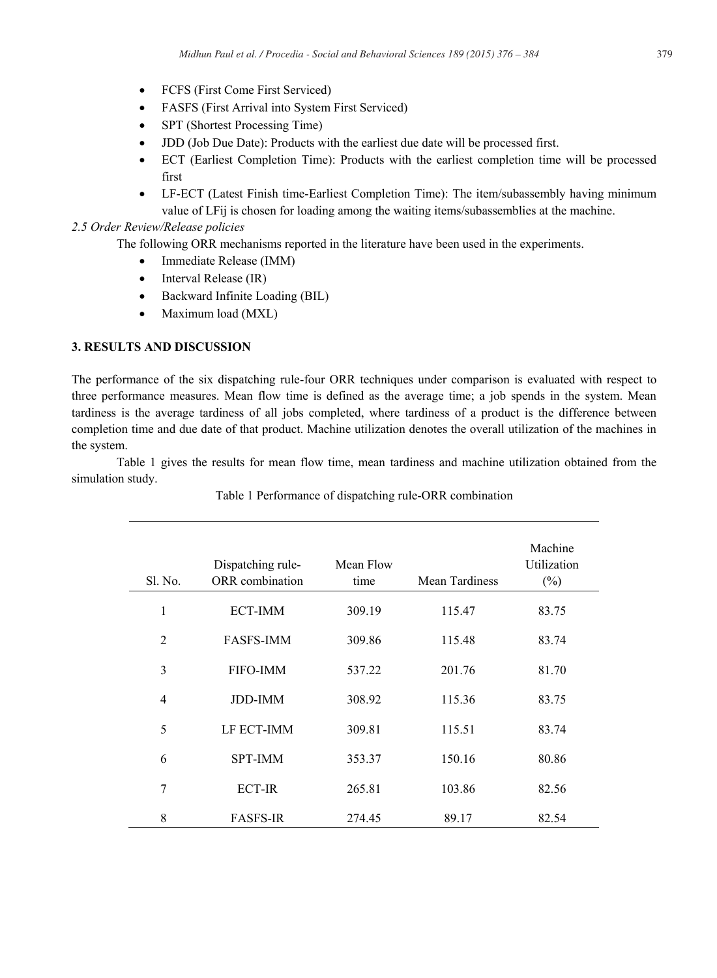- FCFS (First Come First Serviced)
- FASFS (First Arrival into System First Serviced)
- x SPT (Shortest Processing Time)
- x JDD (Job Due Date): Products with the earliest due date will be processed first.
- ECT (Earliest Completion Time): Products with the earliest completion time will be processed first
- LF-ECT (Latest Finish time-Earliest Completion Time): The item/subassembly having minimum value of LFij is chosen for loading among the waiting items/subassemblies at the machine.

## *2.5 Order Review/Release policies*

The following ORR mechanisms reported in the literature have been used in the experiments.

- Immediate Release (IMM)
- $\bullet$  Interval Release (IR)
- $\bullet$  Backward Infinite Loading (BIL)
- $\bullet$  Maximum load (MXL)

## **3. RESULTS AND DISCUSSION**

The performance of the six dispatching rule-four ORR techniques under comparison is evaluated with respect to three performance measures. Mean flow time is defined as the average time; a job spends in the system. Mean tardiness is the average tardiness of all jobs completed, where tardiness of a product is the difference between completion time and due date of that product. Machine utilization denotes the overall utilization of the machines in the system.

Table 1 gives the results for mean flow time, mean tardiness and machine utilization obtained from the simulation study.

| Sl. No.        | Dispatching rule-<br>ORR combination | Mean Flow<br>time | Mean Tardiness | Machine<br>Utilization<br>$(\%)$ |  |
|----------------|--------------------------------------|-------------------|----------------|----------------------------------|--|
| 1              | <b>ECT-IMM</b>                       | 309.19            | 115.47         | 83.75                            |  |
| $\overline{2}$ | <b>FASFS-IMM</b>                     | 309.86            | 115.48         | 83.74                            |  |
| 3              | <b>FIFO-IMM</b>                      | 537.22            | 201.76         | 81.70                            |  |
| 4              | <b>JDD-IMM</b>                       | 308.92            | 115.36         | 83.75                            |  |
| 5              | LF ECT-IMM                           | 309.81            | 115.51         | 83.74                            |  |
| 6              | <b>SPT-IMM</b>                       | 353.37            | 150.16         | 80.86                            |  |
| 7              | ECT-IR                               | 265.81            | 103.86         | 82.56                            |  |
| 8              | <b>FASFS-IR</b>                      | 274.45            | 89.17          | 82.54                            |  |

Table 1 Performance of dispatching rule-ORR combination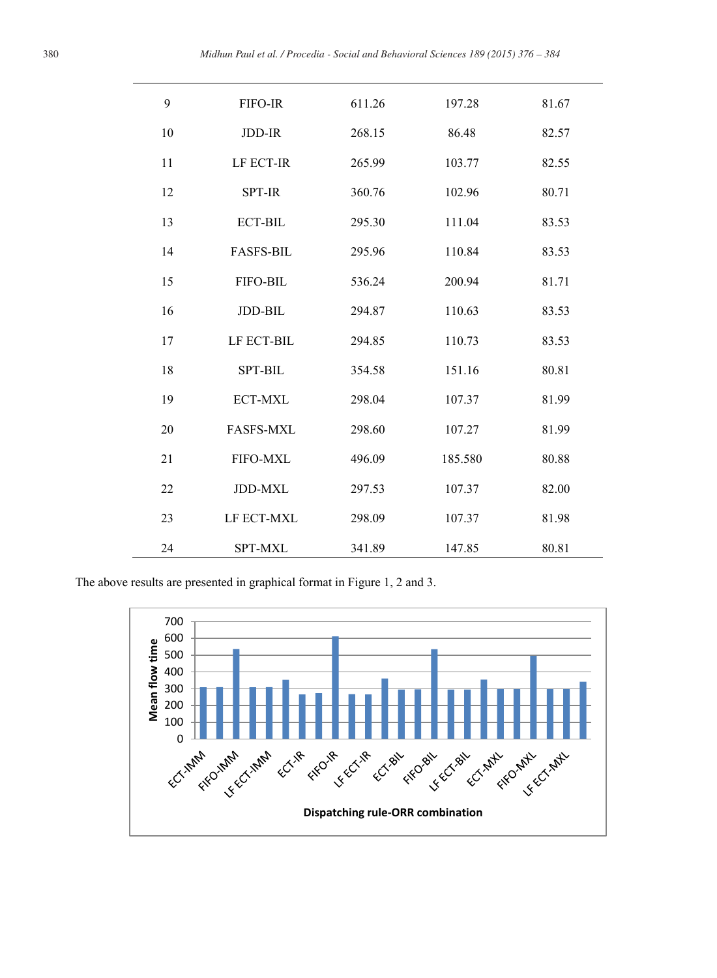| 9  | <b>FIFO-IR</b>   | 611.26 | 197.28  | 81.67 |
|----|------------------|--------|---------|-------|
| 10 | <b>JDD-IR</b>    | 268.15 | 86.48   | 82.57 |
| 11 | LF ECT-IR        | 265.99 | 103.77  | 82.55 |
| 12 | <b>SPT-IR</b>    | 360.76 | 102.96  | 80.71 |
| 13 | <b>ECT-BIL</b>   | 295.30 | 111.04  | 83.53 |
| 14 | <b>FASFS-BIL</b> | 295.96 | 110.84  | 83.53 |
| 15 | <b>FIFO-BIL</b>  | 536.24 | 200.94  | 81.71 |
| 16 | <b>JDD-BIL</b>   | 294.87 | 110.63  | 83.53 |
| 17 | LF ECT-BIL       | 294.85 | 110.73  | 83.53 |
| 18 | <b>SPT-BIL</b>   | 354.58 | 151.16  | 80.81 |
| 19 | <b>ECT-MXL</b>   | 298.04 | 107.37  | 81.99 |
| 20 | <b>FASFS-MXL</b> | 298.60 | 107.27  | 81.99 |
| 21 | FIFO-MXL         | 496.09 | 185.580 | 80.88 |
| 22 | <b>JDD-MXL</b>   | 297.53 | 107.37  | 82.00 |
| 23 | LF ECT-MXL       | 298.09 | 107.37  | 81.98 |
| 24 | <b>SPT-MXL</b>   | 341.89 | 147.85  | 80.81 |

The above results are presented in graphical format in Figure 1, 2 and 3.

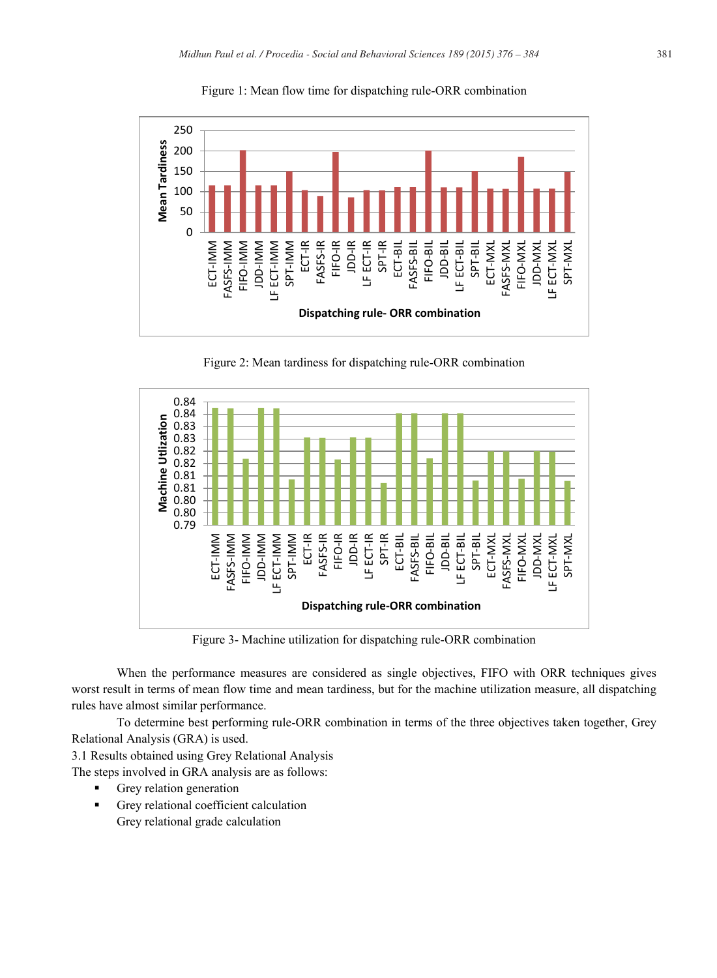

Figure 1: Mean flow time for dispatching rule-ORR combination





Figure 3- Machine utilization for dispatching rule-ORR combination

When the performance measures are considered as single objectives, FIFO with ORR techniques gives worst result in terms of mean flow time and mean tardiness, but for the machine utilization measure, all dispatching rules have almost similar performance.

To determine best performing rule-ORR combination in terms of the three objectives taken together, Grey Relational Analysis (GRA) is used.

3.1 Results obtained using Grey Relational Analysis The steps involved in GRA analysis are as follows:

- Grey relation generation
- Grey relational coefficient calculation Grey relational grade calculation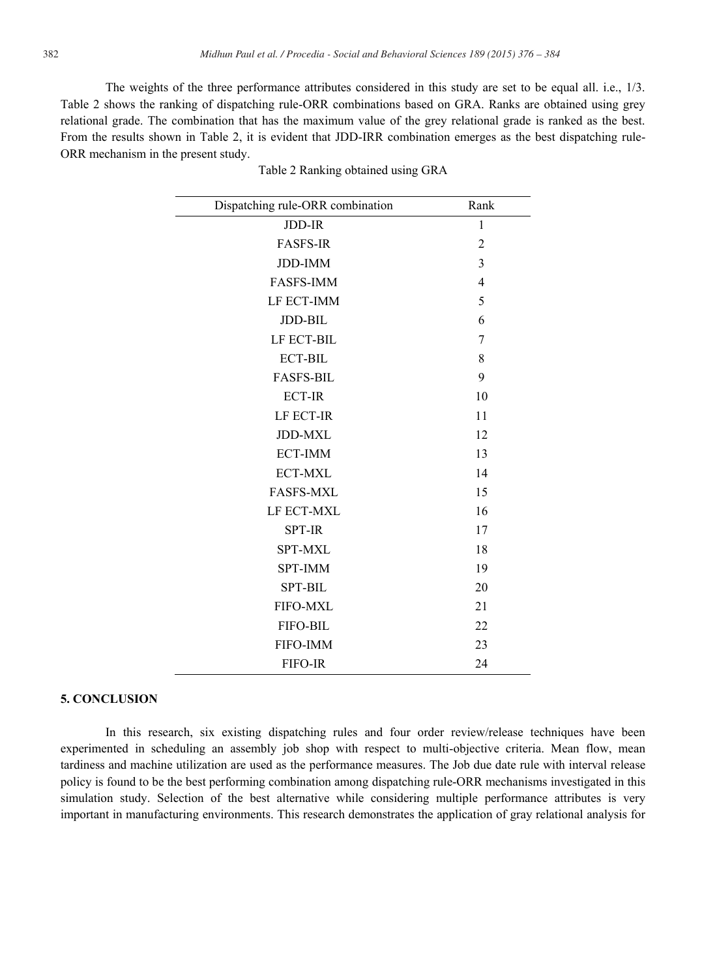The weights of the three performance attributes considered in this study are set to be equal all. i.e., 1/3. Table 2 shows the ranking of dispatching rule-ORR combinations based on GRA. Ranks are obtained using grey relational grade. The combination that has the maximum value of the grey relational grade is ranked as the best. From the results shown in Table 2, it is evident that JDD-IRR combination emerges as the best dispatching rule-ORR mechanism in the present study.

| Dispatching rule-ORR combination | Rank           |
|----------------------------------|----------------|
| <b>JDD-IR</b>                    | $\mathbf{1}$   |
| <b>FASFS-IR</b>                  | $\overline{c}$ |
| <b>JDD-IMM</b>                   | 3              |
| <b>FASFS-IMM</b>                 | $\overline{4}$ |
| LF ECT-IMM                       | 5              |
| <b>JDD-BIL</b>                   | 6              |
| LF ECT-BIL                       | 7              |
| <b>ECT-BIL</b>                   | 8              |
| <b>FASFS-BIL</b>                 | 9              |
| <b>ECT-IR</b>                    | 10             |
| LF ECT-IR                        | 11             |
| <b>JDD-MXL</b>                   | 12             |
| ECT-IMM                          | 13             |
| <b>ECT-MXL</b>                   | 14             |
| <b>FASFS-MXL</b>                 | 15             |
| LF ECT-MXL                       | 16             |
| <b>SPT-IR</b>                    | 17             |
| SPT-MXL                          | 18             |
| SPT-IMM                          | 19             |
| <b>SPT-BIL</b>                   | 20             |
| FIFO-MXL                         | 21             |
| <b>FIFO-BIL</b>                  | 22             |
| FIFO-IMM                         | 23             |
| <b>FIFO-IR</b>                   | 24             |

Table 2 Ranking obtained using GRA

#### **5. CONCLUSION**

In this research, six existing dispatching rules and four order review/release techniques have been experimented in scheduling an assembly job shop with respect to multi-objective criteria. Mean flow, mean tardiness and machine utilization are used as the performance measures. The Job due date rule with interval release policy is found to be the best performing combination among dispatching rule-ORR mechanisms investigated in this simulation study. Selection of the best alternative while considering multiple performance attributes is very important in manufacturing environments. This research demonstrates the application of gray relational analysis for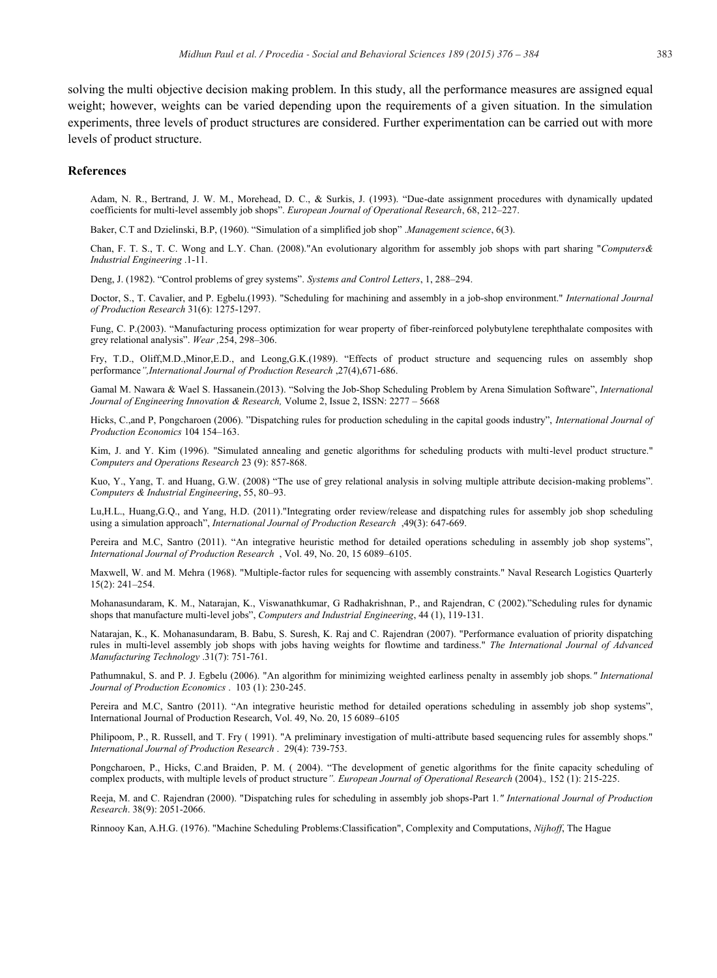solving the multi objective decision making problem. In this study, all the performance measures are assigned equal weight; however, weights can be varied depending upon the requirements of a given situation. In the simulation experiments, three levels of product structures are considered. Further experimentation can be carried out with more levels of product structure.

#### **References**

Adam, N. R., Bertrand, J. W. M., Morehead, D. C., & Surkis, J. (1993). "Due-date assignment procedures with dynamically updated coefficients for multi-level assembly job shops". *European Journal of Operational Research*, 68, 212–227.

Baker, C.T and Dzielinski, B.P, (1960). "Simulation of a simplified job shop" .*Management science*, 6(3).

Chan, F. T. S., T. C. Wong and L.Y. Chan. (2008)."An evolutionary algorithm for assembly job shops with part sharing "*Computers& Industrial Engineering* .1-11.

Deng, J. (1982). "Control problems of grey systems". *Systems and Control Letters*, 1, 288–294.

Doctor, S., T. Cavalier, and P. Egbelu.(1993). "Scheduling for machining and assembly in a job-shop environment." *International Journal of Production Research* 31(6): 1275-1297.

Fung, C. P.(2003). "Manufacturing process optimization for wear property of fiber-reinforced polybutylene terephthalate composites with grey relational analysis". *Wear ,*254, 298–306.

Fry, T.D., Oliff,M.D.,Minor,E.D., and Leong,G.K.(1989). "Effects of product structure and sequencing rules on assembly shop performance*",International Journal of Production Research* ,27(4),671-686.

Gamal M. Nawara & Wael S. Hassanein.(2013). "Solving the Job-Shop Scheduling Problem by Arena Simulation Software", *International Journal of Engineering Innovation & Research,* Volume 2, Issue 2, ISSN: 2277 – 5668

Hicks, C.,and P, Pongcharoen (2006). "Dispatching rules for production scheduling in the capital goods industry", *International Journal of Production Economics* 104 154–163.

Kim, J. and Y. Kim (1996). "Simulated annealing and genetic algorithms for scheduling products with multi-level product structure." *Computers and Operations Research* 23 (9): 857-868.

Kuo, Y., Yang, T. and Huang, G.W. (2008) "The use of grey relational analysis in solving multiple attribute decision-making problems". *Computers & Industrial Engineering*, 55, 80–93.

Lu,H.L., Huang,G.Q., and Yang, H.D. (2011)."Integrating order review/release and dispatching rules for assembly job shop scheduling using a simulation approach", *International Journal of Production Research* ,49(3): 647-669.

Pereira and M.C, Santro (2011). "An integrative heuristic method for detailed operations scheduling in assembly job shop systems", *International Journal of Production Research* , Vol. 49, No. 20, 15 6089–6105.

Maxwell, W. and M. Mehra (1968). "Multiple-factor rules for sequencing with assembly constraints." Naval Research Logistics Quarterly 15(2): 241–254.

Mohanasundaram, K. M., Natarajan, K., Viswanathkumar, G Radhakrishnan, P., and Rajendran, C (2002)."Scheduling rules for dynamic shops that manufacture multi-level jobs", *Computers and Industrial Engineering*, 44 (1), 119-131.

Natarajan, K., K. Mohanasundaram, B. Babu, S. Suresh, K. Raj and C. Rajendran (2007). "Performance evaluation of priority dispatching rules in multi-level assembly job shops with jobs having weights for flowtime and tardiness." *The International Journal of Advanced Manufacturing Technology* .31(7): 751-761.

Pathumnakul, S. and P. J. Egbelu (2006). "An algorithm for minimizing weighted earliness penalty in assembly job shops*." International Journal of Production Economics* . 103 (1): 230-245.

Pereira and M.C, Santro (2011). "An integrative heuristic method for detailed operations scheduling in assembly job shop systems", International Journal of Production Research, Vol. 49, No. 20, 15 6089–6105

Philipoom, P., R. Russell, and T. Fry ( 1991). "A preliminary investigation of multi-attribute based sequencing rules for assembly shops." *International Journal of Production Research* . 29(4): 739-753.

Pongcharoen, P., Hicks, C.and Braiden, P. M. ( 2004). "The development of genetic algorithms for the finite capacity scheduling of complex products, with multiple levels of product structure*". European Journal of Operational Research* (2004).*,* 152 (1): 215-225.

Reeja, M. and C. Rajendran (2000). "Dispatching rules for scheduling in assembly job shops-Part 1*." International Journal of Production Research*. 38(9): 2051-2066.

Rinnooy Kan, A.H.G. (1976). "Machine Scheduling Problems:Classification", Complexity and Computations, *Nijhoff*, The Hague